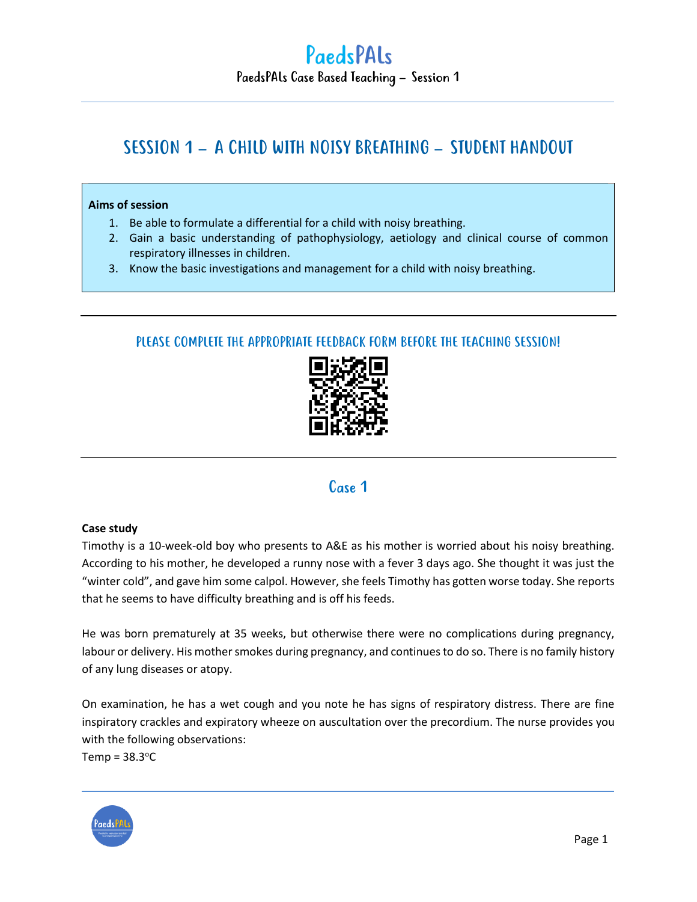## SESSION 1 – A CHILD WITH NOISY BREATHING – STUDENT HANDOUT

#### **Aims of session**

- 1. Be able to formulate a differential for a child with noisy breathing.
- 2. Gain a basic understanding of pathophysiology, aetiology and clinical course of common respiratory illnesses in children.
- 3. Know the basic investigations and management for a child with noisy breathing.

#### PLEASE COMPLETE THE APPROPRIATE FEEDBACK FORM BEFORE THE TEACHING SESSION!



### Case 1

#### **Case study**

Timothy is a 10-week-old boy who presents to A&E as his mother is worried about his noisy breathing. According to his mother, he developed a runny nose with a fever 3 days ago. She thought it was just the "winter cold", and gave him some calpol. However, she feels Timothy has gotten worse today. She reports that he seems to have difficulty breathing and is off his feeds.

He was born prematurely at 35 weeks, but otherwise there were no complications during pregnancy, labour or delivery. His mother smokes during pregnancy, and continues to do so. There is no family history of any lung diseases or atopy.

On examination, he has a wet cough and you note he has signs of respiratory distress. There are fine inspiratory crackles and expiratory wheeze on auscultation over the precordium. The nurse provides you with the following observations:

Temp =  $38.3^{\circ}$ C

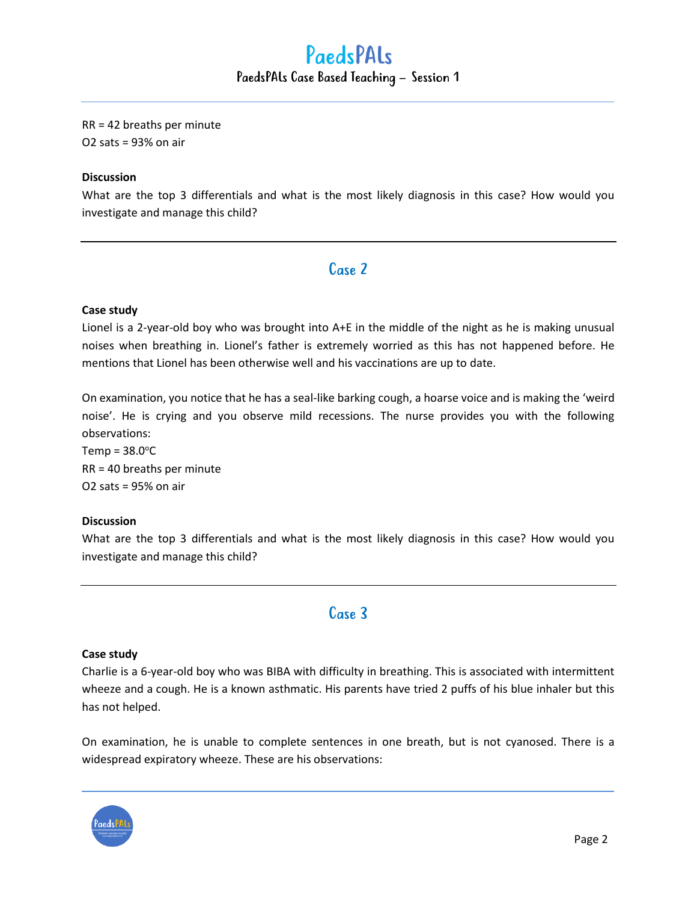# PaedsPALs PaedsPALs Case Based Teaching – Session 1

#### RR = 42 breaths per minute O2 sats = 93% on air

#### **Discussion**

What are the top 3 differentials and what is the most likely diagnosis in this case? How would you investigate and manage this child?

### Case 2

#### **Case study**

Lionel is a 2-year-old boy who was brought into A+E in the middle of the night as he is making unusual noises when breathing in. Lionel's father is extremely worried as this has not happened before. He mentions that Lionel has been otherwise well and his vaccinations are up to date.

On examination, you notice that he has a seal-like barking cough, a hoarse voice and is making the 'weird noise'. He is crying and you observe mild recessions. The nurse provides you with the following observations:

 $Temp = 38.0$ <sup>o</sup>C RR = 40 breaths per minute O2 sats = 95% on air

#### **Discussion**

What are the top 3 differentials and what is the most likely diagnosis in this case? How would you investigate and manage this child?

### Case 3

#### **Case study**

Charlie is a 6-year-old boy who was BIBA with difficulty in breathing. This is associated with intermittent wheeze and a cough. He is a known asthmatic. His parents have tried 2 puffs of his blue inhaler but this has not helped.

On examination, he is unable to complete sentences in one breath, but is not cyanosed. There is a widespread expiratory wheeze. These are his observations:

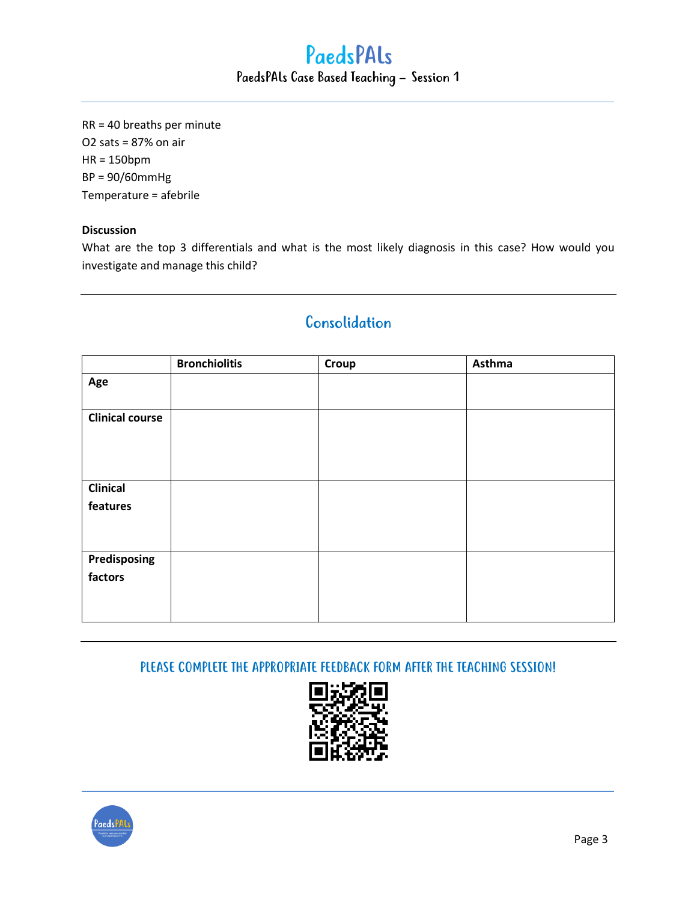# PaedsPALs PaedsPALs Case Based Teaching – Session 1

RR = 40 breaths per minute O2 sats = 87% on air HR = 150bpm BP = 90/60mmHg Temperature = afebrile

#### **Discussion**

What are the top 3 differentials and what is the most likely diagnosis in this case? How would you investigate and manage this child?

| Consolidation |  |  |
|---------------|--|--|
|               |  |  |

|                        | <b>Bronchiolitis</b> | Croup | Asthma |
|------------------------|----------------------|-------|--------|
| Age                    |                      |       |        |
|                        |                      |       |        |
| <b>Clinical course</b> |                      |       |        |
|                        |                      |       |        |
|                        |                      |       |        |
|                        |                      |       |        |
| <b>Clinical</b>        |                      |       |        |
| features               |                      |       |        |
|                        |                      |       |        |
|                        |                      |       |        |
| Predisposing           |                      |       |        |
| factors                |                      |       |        |
|                        |                      |       |        |
|                        |                      |       |        |

PLEASE COMPLETE THE APPROPRIATE FEEDBACK FORM AFTER THE TEACHING SESSION!